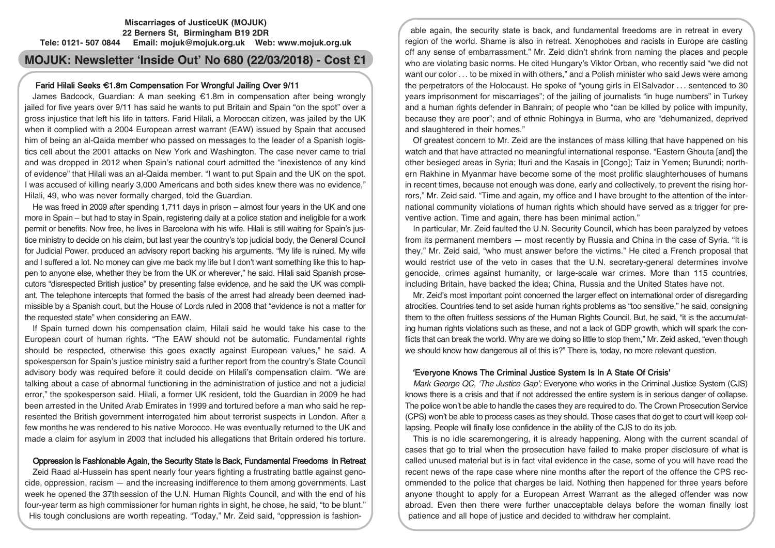### **Miscarriages of JusticeUK (MOJUK) 22 Berners St, Birmingham B19 2DR Tele: 0121- 507 0844 Email: mojuk@mojuk.org.uk Web: www.mojuk.org.uk**

# **MOJUK: Newsletter 'Inside Out' No 680 (22/03/2018) - Cost £1**

## Farid Hilali Seeks €1.8m Compensation For Wrongful Jailing Over 9/11

James Badcock, Guardian: A man seeking €1.8m in compensation after being wrongly jailed for five years over 9/11 has said he wants to put Britain and Spain "on the spot" over a gross injustice that left his life in tatters. Farid Hilali, a Moroccan citizen, was jailed by the UK when it complied with a 2004 European arrest warrant (EAW) issued by Spain that accused him of being an al-Qaida member who passed on messages to the leader of a Spanish logistics cell about the 2001 attacks on New York and Washington. The case never came to trial and was dropped in 2012 when Spain's national court admitted the "inexistence of any kind of evidence" that Hilali was an al-Qaida member. "I want to put Spain and the UK on the spot. I was accused of killing nearly 3,000 Americans and both sides knew there was no evidence," Hilali, 49, who was never formally charged, told the Guardian.

He was freed in 2009 after spending 1,711 days in prison – almost four years in the UK and one more in Spain – but had to stay in Spain, registering daily at a police station and ineligible for a work permit or benefits. Now free, he lives in Barcelona with his wife. Hilali is still waiting for Spain's justice ministry to decide on his claim, but last year the country's top judicial body, the General Council for Judicial Power, produced an advisory report backing his arguments. "My life is ruined. My wife and I suffered a lot. No money can give me back my life but I don't want something like this to happen to anyone else, whether they be from the UK or wherever," he said. Hilali said Spanish prosecutors "disrespected British justice" by presenting false evidence, and he said the UK was compliant. The telephone intercepts that formed the basis of the arrest had already been deemed inadmissible by a Spanish court, but the House of Lords ruled in 2008 that "evidence is not a matter for the requested state" when considering an EAW.

If Spain turned down his compensation claim, Hilali said he would take his case to the European court of human rights. "The EAW should not be automatic. Fundamental rights should be respected, otherwise this goes exactly against European values," he said. A spokesperson for Spain's justice ministry said a further report from the country's State Council advisory body was required before it could decide on Hilali's compensation claim. "We are talking about a case of abnormal functioning in the administration of justice and not a judicial error," the spokesperson said. Hilali, a former UK resident, told the Guardian in 2009 he had been arrested in the United Arab Emirates in 1999 and tortured before a man who said he represented the British government interrogated him about terrorist suspects in London. After a few months he was rendered to his native Morocco. He was eventually returned to the UK and made a claim for asylum in 2003 that included his allegations that Britain ordered his torture.

# Oppression is Fashionable Again, the Security State is Back, Fundamental Freedoms in Retreat

Zeid Raad al-Hussein has spent nearly four years fighting a frustrating battle against genocide, oppression, racism — and the increasing indifference to them among governments. Last week he opened the 37th session of the U.N. Human Rights Council, and with the end of his four-year term as high commissioner for human rights in sight, he chose, he said, "to be blunt." His tough conclusions are worth repeating. "Today," Mr. Zeid said, "oppression is fashion-

able again, the security state is back, and fundamental freedoms are in retreat in every region of the world. Shame is also in retreat. Xenophobes and racists in Europe are casting off any sense of embarrassment." Mr. Zeid didn't shrink from naming the places and people who are violating basic norms. He cited Hungary's Viktor Orban, who recently said "we did not want our color ... to be mixed in with others," and a Polish minister who said Jews were among the perpetrators of the Holocaust. He spoke of "young girls in ElSalvador ... sentenced to 30 years imprisonment for miscarriages"; of the jailing of journalists "in huge numbers" in Turkey and a human rights defender in Bahrain; of people who "can be killed by police with impunity, because they are poor"; and of ethnic Rohingya in Burma, who are "dehumanized, deprived and slaughtered in their homes."

Of greatest concern to Mr. Zeid are the instances of mass killing that have happened on his watch and that have attracted no meaningful international response. "Eastern Ghouta [and] the other besieged areas in Syria; Ituri and the Kasais in [Congo]; Taiz in Yemen; Burundi; northern Rakhine in Myanmar have become some of the most prolific slaughterhouses of humans in recent times, because not enough was done, early and collectively, to prevent the rising horrors," Mr. Zeid said. "Time and again, my office and I have brought to the attention of the international community violations of human rights which should have served as a trigger for preventive action. Time and again, there has been minimal action."

In particular, Mr. Zeid faulted the U.N. Security Council, which has been paralyzed by vetoes from its permanent members — most recently by Russia and China in the case of Syria. "It is they," Mr. Zeid said, "who must answer before the victims." He cited a French proposal that would restrict use of the veto in cases that the U.N. secretary-general determines involve genocide, crimes against humanity, or large-scale war crimes. More than 115 countries, including Britain, have backed the idea; China, Russia and the United States have not.

Mr. Zeid's most important point concerned the larger effect on international order of disregarding atrocities. Countries tend to set aside human rights problems as "too sensitive," he said, consigning them to the often fruitless sessions of the Human Rights Council. But, he said, "it is the accumulating human rights violations such as these, and not a lack of GDP growth, which will spark the conflicts that can break the world. Why are we doing so little to stop them," Mr. Zeid asked, "even though we should know how dangerous all of this is?" There is, today, no more relevant question.

### 'Everyone Knows The Criminal Justice System Is In A State Of Crisis'

Mark George QC, 'The Justice Gap': Everyone who works in the Criminal Justice System (CJS) knows there is a crisis and that if not addressed the entire system is in serious danger of collapse. The police won't be able to handle the cases they are required to do. The Crown Prosecution Service (CPS) won't be able to process cases as they should. Those cases that do get to court will keep collapsing. People will finally lose confidence in the ability of the CJS to do its job.

This is no idle scaremongering, it is already happening. Along with the current scandal of cases that go to trial when the prosecution have failed to make proper disclosure of what is called unused material but is in fact vital evidence in the case, some of you will have read the recent news of the rape case where nine months after the report of the offence the CPS recommended to the police that charges be laid. Nothing then happened for three years before anyone thought to apply for a European Arrest Warrant as the alleged offender was now abroad. Even then there were further unacceptable delays before the woman finally lost patience and all hope of justice and decided to withdraw her complaint.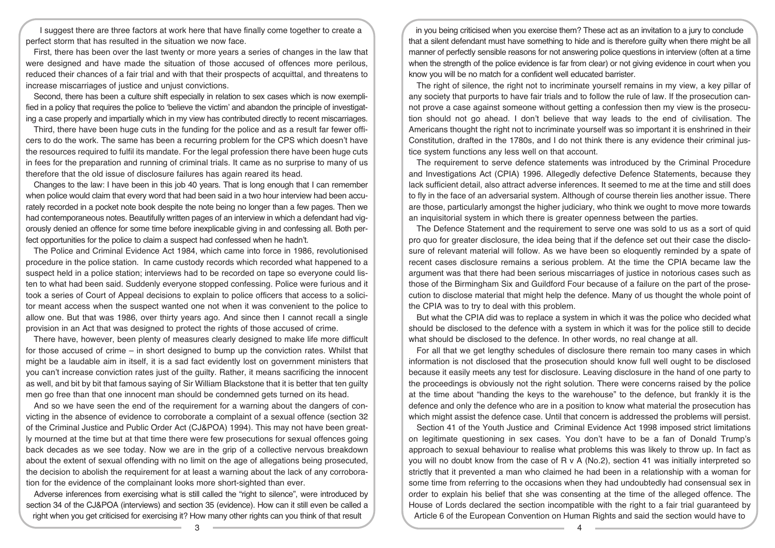I suggest there are three factors at work here that have finally come together to create a perfect storm that has resulted in the situation we now face.

First, there has been over the last twenty or more years a series of changes in the law that were designed and have made the situation of those accused of offences more perilous, reduced their chances of a fair trial and with that their prospects of acquittal, and threatens to increase miscarriages of justice and unjust convictions.

Second, there has been a culture shift especially in relation to sex cases which is now exemplified in a policy that requires the police to 'believe the victim' and abandon the principle of investigating a case properly and impartially which in my view has contributed directly to recent miscarriages.

Third, there have been huge cuts in the funding for the police and as a result far fewer officers to do the work. The same has been a recurring problem for the CPS which doesn't have the resources required to fulfil its mandate. For the legal profession there have been huge cuts in fees for the preparation and running of criminal trials. It came as no surprise to many of us therefore that the old issue of disclosure failures has again reared its head.

Changes to the law: I have been in this job 40 years. That is long enough that I can remember when police would claim that every word that had been said in a two hour interview had been accurately recorded in a pocket note book despite the note being no longer than a few pages. Then we had contemporaneous notes. Beautifully written pages of an interview in which a defendant had vigorously denied an offence for some time before inexplicable giving in and confessing all. Both perfect opportunities for the police to claim a suspect had confessed when he hadn't.

The Police and Criminal Evidence Act 1984, which came into force in 1986, revolutionised procedure in the police station. In came custody records which recorded what happened to a suspect held in a police station; interviews had to be recorded on tape so everyone could listen to what had been said. Suddenly everyone stopped confessing. Police were furious and it took a series of Court of Appeal decisions to explain to police officers that access to a solicitor meant access when the suspect wanted one not when it was convenient to the police to allow one. But that was 1986, over thirty years ago. And since then I cannot recall a single provision in an Act that was designed to protect the rights of those accused of crime.

There have, however, been plenty of measures clearly designed to make life more difficult for those accused of crime – in short designed to bump up the conviction rates. Whilst that might be a laudable aim in itself, it is a sad fact evidently lost on government ministers that you can't increase conviction rates just of the guilty. Rather, it means sacrificing the innocent as well, and bit by bit that famous saying of Sir William Blackstone that it is better that ten guilty men go free than that one innocent man should be condemned gets turned on its head.

And so we have seen the end of the requirement for a warning about the dangers of convicting in the absence of evidence to corroborate a complaint of a sexual offence (section 32 of the Criminal Justice and Public Order Act (CJ&POA) 1994). This may not have been greatly mourned at the time but at that time there were few prosecutions for sexual offences going back decades as we see today. Now we are in the grip of a collective nervous breakdown about the extent of sexual offending with no limit on the age of allegations being prosecuted, the decision to abolish the requirement for at least a warning about the lack of any corroboration for the evidence of the complainant looks more short-sighted than ever.

Adverse inferences from exercising what is still called the "right to silence", were introduced by section 34 of the CJ&POA (interviews) and section 35 (evidence). How can it still even be called a right when you get criticised for exercising it? How many other rights can you think of that result

in you being criticised when you exercise them? These act as an invitation to a jury to conclude that a silent defendant must have something to hide and is therefore guilty when there might be all manner of perfectly sensible reasons for not answering police questions in interview (often at a time when the strength of the police evidence is far from clear) or not giving evidence in court when you know you will be no match for a confident well educated barrister.

The right of silence, the right not to incriminate yourself remains in my view, a key pillar of any society that purports to have fair trials and to follow the rule of law. If the prosecution cannot prove a case against someone without getting a confession then my view is the prosecution should not go ahead. I don't believe that way leads to the end of civilisation. The Americans thought the right not to incriminate yourself was so important it is enshrined in their Constitution, drafted in the 1780s, and I do not think there is any evidence their criminal justice system functions any less well on that account.

The requirement to serve defence statements was introduced by the Criminal Procedure and Investigations Act (CPIA) 1996. Allegedly defective Defence Statements, because they lack sufficient detail, also attract adverse inferences. It seemed to me at the time and still does to fly in the face of an adversarial system. Although of course therein lies another issue. There are those, particularly amongst the higher judiciary, who think we ought to move more towards an inquisitorial system in which there is greater openness between the parties.

The Defence Statement and the requirement to serve one was sold to us as a sort of quid pro quo for greater disclosure, the idea being that if the defence set out their case the disclosure of relevant material will follow. As we have been so eloquently reminded by a spate of recent cases disclosure remains a serious problem. At the time the CPIA became law the argument was that there had been serious miscarriages of justice in notorious cases such as those of the Birmingham Six and Guildford Four because of a failure on the part of the prosecution to disclose material that might help the defence. Many of us thought the whole point of the CPIA was to try to deal with this problem.

But what the CPIA did was to replace a system in which it was the police who decided what should be disclosed to the defence with a system in which it was for the police still to decide what should be disclosed to the defence. In other words, no real change at all.

For all that we get lengthy schedules of disclosure there remain too many cases in which information is not disclosed that the prosecution should know full well ought to be disclosed because it easily meets any test for disclosure. Leaving disclosure in the hand of one party to the proceedings is obviously not the right solution. There were concerns raised by the police at the time about "handing the keys to the warehouse" to the defence, but frankly it is the defence and only the defence who are in a position to know what material the prosecution has which might assist the defence case. Until that concern is addressed the problems will persist.

Section 41 of the Youth Justice and Criminal Evidence Act 1998 imposed strict limitations on legitimate questioning in sex cases. You don't have to be a fan of Donald Trump's approach to sexual behaviour to realise what problems this was likely to throw up. In fact as you will no doubt know from the case of R v A (No.2), section 41 was initially interpreted so strictly that it prevented a man who claimed he had been in a relationship with a woman for some time from referring to the occasions when they had undoubtedly had consensual sex in order to explain his belief that she was consenting at the time of the alleged offence. The House of Lords declared the section incompatible with the right to a fair trial guaranteed by Article 6 of the European Convention on Human Rights and said the section would have to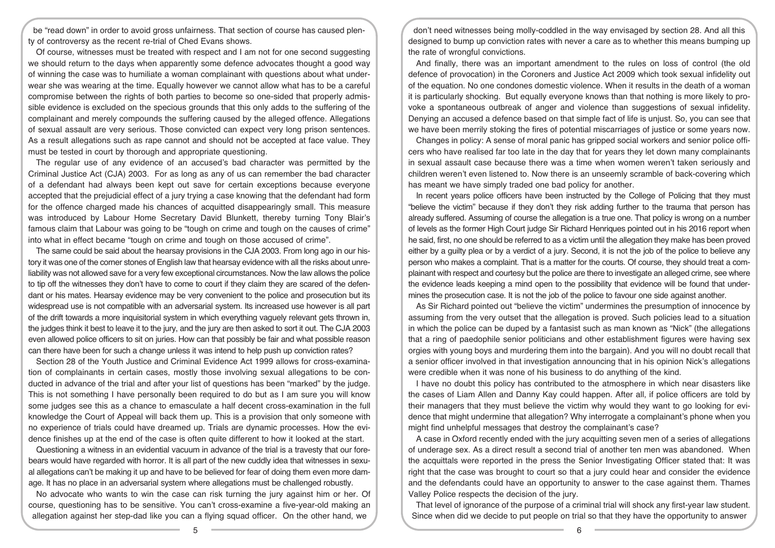be "read down" in order to avoid gross unfairness. That section of course has caused plenty of controversy as the recent re-trial of Ched Evans shows.

Of course, witnesses must be treated with respect and I am not for one second suggesting we should return to the days when apparently some defence advocates thought a good way of winning the case was to humiliate a woman complainant with questions about what underwear she was wearing at the time. Equally however we cannot allow what has to be a careful compromise between the rights of both parties to become so one-sided that properly admissible evidence is excluded on the specious grounds that this only adds to the suffering of the complainant and merely compounds the suffering caused by the alleged offence. Allegations of sexual assault are very serious. Those convicted can expect very long prison sentences. As a result allegations such as rape cannot and should not be accepted at face value. They must be tested in court by thorough and appropriate questioning.

The regular use of any evidence of an accused's bad character was permitted by the Criminal Justice Act (CJA) 2003. For as long as any of us can remember the bad character of a defendant had always been kept out save for certain exceptions because everyone accepted that the prejudicial effect of a jury trying a case knowing that the defendant had form for the offence charged made his chances of acquitted disappearingly small. This measure was introduced by Labour Home Secretary David Blunkett, thereby turning Tony Blair's famous claim that Labour was going to be "tough on crime and tough on the causes of crime" into what in effect became "tough on crime and tough on those accused of crime".

The same could be said about the hearsay provisions in the CJA 2003. From long ago in our history it was one of the corner stones of English law that hearsay evidence with all the risks about unreliability was not allowed save for a very few exceptional circumstances. Now the law allows the police to tip off the witnesses they don't have to come to court if they claim they are scared of the defendant or his mates. Hearsay evidence may be very convenient to the police and prosecution but its widespread use is not compatible with an adversarial system. Its increased use however is all part of the drift towards a more inquisitorial system in which everything vaguely relevant gets thrown in, the judges think it best to leave it to the jury, and the jury are then asked to sort it out. The CJA 2003 even allowed police officers to sit on juries. How can that possibly be fair and what possible reason can there have been for such a change unless it was intend to help push up conviction rates?

Section 28 of the Youth Justice and Criminal Evidence Act 1999 allows for cross-examination of complainants in certain cases, mostly those involving sexual allegations to be conducted in advance of the trial and after your list of questions has been "marked" by the judge. This is not something I have personally been required to do but as I am sure you will know some judges see this as a chance to emasculate a half decent cross-examination in the full knowledge the Court of Appeal will back them up. This is a provision that only someone with no experience of trials could have dreamed up. Trials are dynamic processes. How the evidence finishes up at the end of the case is often quite different to how it looked at the start.

Questioning a witness in an evidential vacuum in advance of the trial is a travesty that our forebears would have regarded with horror. It is all part of the new cuddly idea that witnesses in sexual allegations can't be making it up and have to be believed for fear of doing them even more damage. It has no place in an adversarial system where allegations must be challenged robustly.

No advocate who wants to win the case can risk turning the jury against him or her. Of course, questioning has to be sensitive. You can't cross-examine a five-year-old making an allegation against her step-dad like you can a flying squad officer. On the other hand, we

don't need witnesses being molly-coddled in the way envisaged by section 28. And all this designed to bump up conviction rates with never a care as to whether this means bumping up the rate of wrongful convictions.

And finally, there was an important amendment to the rules on loss of control (the old defence of provocation) in the Coroners and Justice Act 2009 which took sexual infidelity out of the equation. No one condones domestic violence. When it results in the death of a woman it is particularly shocking. But equally everyone knows than that nothing is more likely to provoke a spontaneous outbreak of anger and violence than suggestions of sexual infidelity. Denying an accused a defence based on that simple fact of life is unjust. So, you can see that we have been merrily stoking the fires of potential miscarriages of justice or some years now.

Changes in policy: A sense of moral panic has gripped social workers and senior police officers who have realised far too late in the day that for years they let down many complainants in sexual assault case because there was a time when women weren't taken seriously and children weren't even listened to. Now there is an unseemly scramble of back-covering which has meant we have simply traded one bad policy for another.

In recent years police officers have been instructed by the College of Policing that they must "believe the victim" because if they don't they risk adding further to the trauma that person has already suffered. Assuming of course the allegation is a true one. That policy is wrong on a number of levels as the former High Court judge Sir Richard Henriques pointed out in his 2016 report when he said, first, no one should be referred to as a victim until the allegation they make has been proved either by a guilty plea or by a verdict of a jury. Second, it is not the job of the police to believe any person who makes a complaint. That is a matter for the courts. Of course, they should treat a complainant with respect and courtesy but the police are there to investigate an alleged crime, see where the evidence leads keeping a mind open to the possibility that evidence will be found that undermines the prosecution case. It is not the job of the police to favour one side against another.

As Sir Richard pointed out "believe the victim" undermines the presumption of innocence by assuming from the very outset that the allegation is proved. Such policies lead to a situation in which the police can be duped by a fantasist such as man known as "Nick" (the allegations that a ring of paedophile senior politicians and other establishment figures were having sex orgies with young boys and murdering them into the bargain). And you will no doubt recall that a senior officer involved in that investigation announcing that in his opinion Nick's allegations were credible when it was none of his business to do anything of the kind.

I have no doubt this policy has contributed to the atmosphere in which near disasters like the cases of Liam Allen and Danny Kay could happen. After all, if police officers are told by their managers that they must believe the victim why would they want to go looking for evidence that might undermine that allegation? Why interrogate a complainant's phone when you might find unhelpful messages that destroy the complainant's case?

A case in Oxford recently ended with the jury acquitting seven men of a series of allegations of underage sex. As a direct result a second trial of another ten men was abandoned. When the acquittals were reported in the press the Senior Investigating Officer stated that: It was right that the case was brought to court so that a jury could hear and consider the evidence and the defendants could have an opportunity to answer to the case against them. Thames Valley Police respects the decision of the jury.

That level of ignorance of the purpose of a criminal trial will shock any first-year law student. Since when did we decide to put people on trial so that they have the opportunity to answer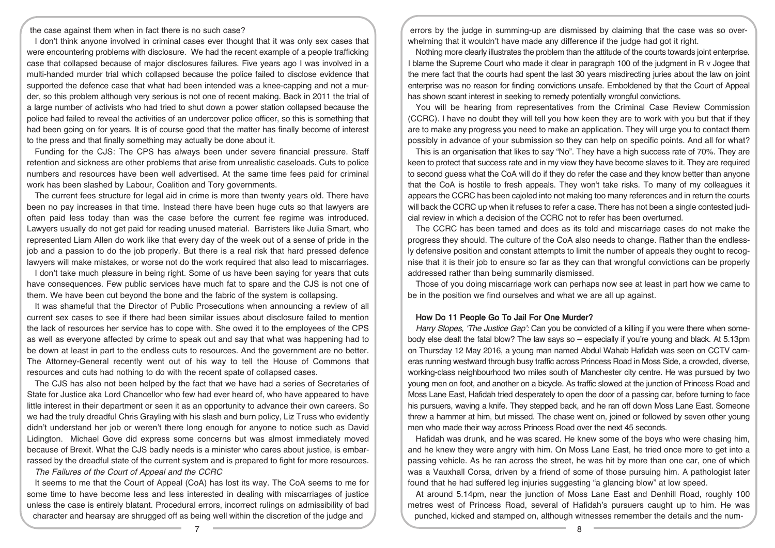the case against them when in fact there is no such case?

I don't think anyone involved in criminal cases ever thought that it was only sex cases that were encountering problems with disclosure. We had the recent example of a people trafficking case that collapsed because of major disclosures failures. Five years ago I was involved in a multi-handed murder trial which collapsed because the police failed to disclose evidence that supported the defence case that what had been intended was a knee-capping and not a murder, so this problem although very serious is not one of recent making. Back in 2011 the trial of a large number of activists who had tried to shut down a power station collapsed because the police had failed to reveal the activities of an undercover police officer, so this is something that had been going on for years. It is of course good that the matter has finally become of interest to the press and that finally something may actually be done about it.

Funding for the CJS: The CPS has always been under severe financial pressure. Staff retention and sickness are other problems that arise from unrealistic caseloads. Cuts to police numbers and resources have been well advertised. At the same time fees paid for criminal work has been slashed by Labour, Coalition and Tory governments.

The current fees structure for legal aid in crime is more than twenty years old. There have been no pay increases in that time. Instead there have been huge cuts so that lawyers are often paid less today than was the case before the current fee regime was introduced. Lawyers usually do not get paid for reading unused material. Barristers like Julia Smart, who represented Liam Allen do work like that every day of the week out of a sense of pride in the job and a passion to do the job properly. But there is a real risk that hard pressed defence lawyers will make mistakes, or worse not do the work required that also lead to miscarriages.

I don't take much pleasure in being right. Some of us have been saying for years that cuts have consequences. Few public services have much fat to spare and the CJS is not one of them. We have been cut beyond the bone and the fabric of the system is collapsing.

It was shameful that the Director of Public Prosecutions when announcing a review of all current sex cases to see if there had been similar issues about disclosure failed to mention the lack of resources her service has to cope with. She owed it to the employees of the CPS as well as everyone affected by crime to speak out and say that what was happening had to be down at least in part to the endless cuts to resources. And the government are no better. The Attorney-General recently went out of his way to tell the House of Commons that resources and cuts had nothing to do with the recent spate of collapsed cases.

The CJS has also not been helped by the fact that we have had a series of Secretaries of State for Justice aka Lord Chancellor who few had ever heard of, who have appeared to have little interest in their department or seen it as an opportunity to advance their own careers. So we had the truly dreadful Chris Grayling with his slash and burn policy, Liz Truss who evidently didn't understand her job or weren't there long enough for anyone to notice such as David Lidington. Michael Gove did express some concerns but was almost immediately moved because of Brexit. What the CJS badly needs is a minister who cares about justice, is embarrassed by the dreadful state of the current system and is prepared to fight for more resources.

The Failures of the Court of Appeal and the CCRC

It seems to me that the Court of Appeal (CoA) has lost its way. The CoA seems to me for some time to have become less and less interested in dealing with miscarriages of justice unless the case is entirely blatant. Procedural errors, incorrect rulings on admissibility of bad character and hearsay are shrugged off as being well within the discretion of the judge and

errors by the judge in summing-up are dismissed by claiming that the case was so overwhelming that it wouldn't have made any difference if the judge had got it right.

Nothing more clearly illustrates the problem than the attitude of the courts towards joint enterprise. I blame the Supreme Court who made it clear in paragraph 100 of the judgment in R v Jogee that the mere fact that the courts had spent the last 30 years misdirecting juries about the law on joint enterprise was no reason for finding convictions unsafe. Emboldened by that the Court of Appeal has shown scant interest in seeking to remedy potentially wrongful convictions.

You will be hearing from representatives from the Criminal Case Review Commission (CCRC). I have no doubt they will tell you how keen they are to work with you but that if they are to make any progress you need to make an application. They will urge you to contact them possibly in advance of your submission so they can help on specific points. And all for what?

This is an organisation that likes to say "No". They have a high success rate of 70%. They are keen to protect that success rate and in my view they have become slaves to it. They are required to second guess what the CoA will do if they do refer the case and they know better than anyone that the CoA is hostile to fresh appeals. They won't take risks. To many of my colleagues it appears the CCRC has been cajoled into not making too many references and in return the courts will back the CCRC up when it refuses to refer a case. There has not been a single contested judicial review in which a decision of the CCRC not to refer has been overturned.

The CCRC has been tamed and does as its told and miscarriage cases do not make the progress they should. The culture of the CoA also needs to change. Rather than the endlessly defensive position and constant attempts to limit the number of appeals they ought to recognise that it is their job to ensure so far as they can that wrongful convictions can be properly addressed rather than being summarily dismissed.

Those of you doing miscarriage work can perhaps now see at least in part how we came to be in the position we find ourselves and what we are all up against.

### How Do 11 People Go To Jail For One Murder?

Harry Stopes, 'The Justice Gap': Can you be convicted of a killing if you were there when somebody else dealt the fatal blow? The law says so – especially if you're young and black. At 5.13pm on Thursday 12 May 2016, a young man named Abdul Wahab Hafidah was seen on CCTV cameras running westward through busy traffic across Princess Road in Moss Side, a crowded, diverse, working-class neighbourhood two miles south of Manchester city centre. He was pursued by two young men on foot, and another on a bicycle. As traffic slowed at the junction of Princess Road and Moss Lane East, Hafidah tried desperately to open the door of a passing car, before turning to face his pursuers, waving a knife. They stepped back, and he ran off down Moss Lane East. Someone threw a hammer at him, but missed. The chase went on, joined or followed by seven other young men who made their way across Princess Road over the next 45 seconds.

Hafidah was drunk, and he was scared. He knew some of the boys who were chasing him, and he knew they were angry with him. On Moss Lane East, he tried once more to get into a passing vehicle. As he ran across the street, he was hit by more than one car, one of which was a Vauxhall Corsa, driven by a friend of some of those pursuing him. A pathologist later found that he had suffered leg injuries suggesting "a glancing blow" at low speed.

At around 5.14pm, near the junction of Moss Lane East and Denhill Road, roughly 100 metres west of Princess Road, several of Hafidah's pursuers caught up to him. He was punched, kicked and stamped on, although witnesses remember the details and the num-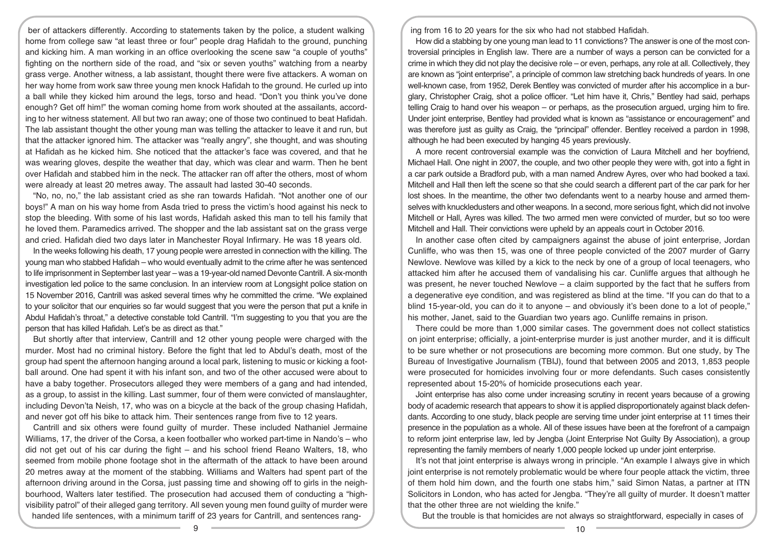ber of attackers differently. According to statements taken by the police, a student walking home from college saw "at least three or four" people drag Hafidah to the ground, punching and kicking him. A man working in an office overlooking the scene saw "a couple of youths" fighting on the northern side of the road, and "six or seven youths" watching from a nearby grass verge. Another witness, a lab assistant, thought there were five attackers. A woman on her way home from work saw three young men knock Hafidah to the ground. He curled up into a ball while they kicked him around the legs, torso and head. "Don't you think you've done enough? Get off him!" the woman coming home from work shouted at the assailants, according to her witness statement. All but two ran away; one of those two continued to beat Hafidah. The lab assistant thought the other young man was telling the attacker to leave it and run, but that the attacker ignored him. The attacker was "really angry", she thought, and was shouting at Hafidah as he kicked him. She noticed that the attacker's face was covered, and that he was wearing gloves, despite the weather that day, which was clear and warm. Then he bent over Hafidah and stabbed him in the neck. The attacker ran off after the others, most of whom were already at least 20 metres away. The assault had lasted 30-40 seconds.

"No, no, no," the lab assistant cried as she ran towards Hafidah. "Not another one of our boys!" A man on his way home from Asda tried to press the victim's hood against his neck to stop the bleeding. With some of his last words, Hafidah asked this man to tell his family that he loved them. Paramedics arrived. The shopper and the lab assistant sat on the grass verge and cried. Hafidah died two days later in Manchester Royal Infirmary. He was 18 years old.

In the weeks following his death, 17 young people were arrested in connection with the killing. The young man who stabbed Hafidah – who would eventually admit to the crime after he was sentenced to life imprisonment in September last year – was a 19-year-old named Devonte Cantrill. A six-month investigation led police to the same conclusion. In an interview room at Longsight police station on 15 November 2016, Cantrill was asked several times why he committed the crime. "We explained to your solicitor that our enquiries so far would suggest that you were the person that put a knife in Abdul Hafidah's throat," a detective constable told Cantrill. "I'm suggesting to you that you are the person that has killed Hafidah. Let's be as direct as that."

But shortly after that interview, Cantrill and 12 other young people were charged with the murder. Most had no criminal history. Before the fight that led to Abdul's death, most of the group had spent the afternoon hanging around a local park, listening to music or kicking a football around. One had spent it with his infant son, and two of the other accused were about to have a baby together. Prosecutors alleged they were members of a gang and had intended, as a group, to assist in the killing. Last summer, four of them were convicted of manslaughter, including Devon'ta Neish, 17, who was on a bicycle at the back of the group chasing Hafidah, and never got off his bike to attack him. Their sentences range from five to 12 years.

Cantrill and six others were found guilty of murder. These included Nathaniel Jermaine Williams, 17, the driver of the Corsa, a keen footballer who worked part-time in Nando's – who did not get out of his car during the fight – and his school friend Reano Walters, 18, who seemed from mobile phone footage shot in the aftermath of the attack to have been around 20 metres away at the moment of the stabbing. Williams and Walters had spent part of the afternoon driving around in the Corsa, just passing time and showing off to girls in the neighbourhood, Walters later testified. The prosecution had accused them of conducting a "highvisibility patrol" of their alleged gang territory. All seven young men found guilty of murder were handed life sentences, with a minimum tariff of 23 years for Cantrill, and sentences ranging from 16 to 20 years for the six who had not stabbed Hafidah.

How did a stabbing by one young man lead to 11 convictions? The answer is one of the most controversial principles in English law. There are a number of ways a person can be convicted for a crime in which they did not play the decisive role – or even, perhaps, any role at all. Collectively, they are known as "joint enterprise", a principle of common law stretching back hundreds of years. In one well-known case, from 1952, Derek Bentley was convicted of murder after his accomplice in a burglary, Christopher Craig, shot a police officer. "Let him have it, Chris," Bentley had said, perhaps telling Craig to hand over his weapon – or perhaps, as the prosecution argued, urging him to fire. Under joint enterprise, Bentley had provided what is known as "assistance or encouragement" and was therefore just as guilty as Craig, the "principal" offender. Bentley received a pardon in 1998, although he had been executed by hanging 45 years previously.

A more recent controversial example was the conviction of Laura Mitchell and her boyfriend, Michael Hall. One night in 2007, the couple, and two other people they were with, got into a fight in a car park outside a Bradford pub, with a man named Andrew Ayres, over who had booked a taxi. Mitchell and Hall then left the scene so that she could search a different part of the car park for her lost shoes. In the meantime, the other two defendants went to a nearby house and armed themselves with knuckledusters and other weapons. In a second, more serious fight, which did not involve Mitchell or Hall, Ayres was killed. The two armed men were convicted of murder, but so too were Mitchell and Hall. Their convictions were upheld by an appeals court in October 2016.

In another case often cited by campaigners against the abuse of joint enterprise, Jordan Cunliffe, who was then 15, was one of three people convicted of the 2007 murder of Garry Newlove. Newlove was killed by a kick to the neck by one of a group of local teenagers, who attacked him after he accused them of vandalising his car. Cunliffe argues that although he was present, he never touched Newlove – a claim supported by the fact that he suffers from a degenerative eye condition, and was registered as blind at the time. "If you can do that to a blind 15-year-old, you can do it to anyone – and obviously it's been done to a lot of people," his mother, Janet, said to the Guardian two years ago. Cunliffe remains in prison.

There could be more than 1,000 similar cases. The government does not collect statistics on joint enterprise; officially, a joint-enterprise murder is just another murder, and it is difficult to be sure whether or not prosecutions are becoming more common. But one study, by The Bureau of Investigative Journalism (TBIJ), found that between 2005 and 2013, 1,853 people were prosecuted for homicides involving four or more defendants. Such cases consistently represented about 15-20% of homicide prosecutions each year.

Joint enterprise has also come under increasing scrutiny in recent years because of a growing body of academic research that appears to show it is applied disproportionately against black defendants. According to one study, black people are serving time under joint enterprise at 11 times their presence in the population as a whole. All of these issues have been at the forefront of a campaign to reform joint enterprise law, led by Jengba (Joint Enterprise Not Guilty By Association), a group representing the family members of nearly 1,000 people locked up under joint enterprise.

It's not that joint enterprise is always wrong in principle. "An example I always give in which joint enterprise is not remotely problematic would be where four people attack the victim, three of them hold him down, and the fourth one stabs him," said Simon Natas, a partner at ITN Solicitors in London, who has acted for Jengba. "They're all guilty of murder. It doesn't matter that the other three are not wielding the knife."

But the trouble is that homicides are not always so straightforward, especially in cases of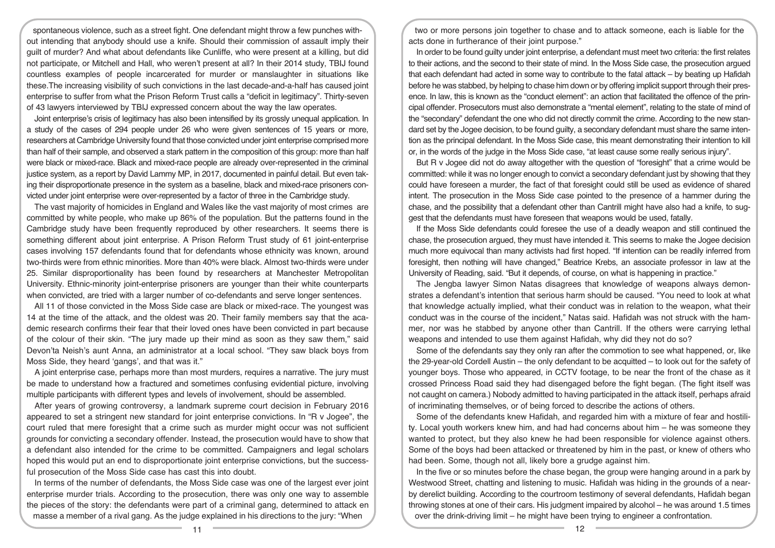spontaneous violence, such as a street fight. One defendant might throw a few punches without intending that anybody should use a knife. Should their commission of assault imply their guilt of murder? And what about defendants like Cunliffe, who were present at a killing, but did not participate, or Mitchell and Hall, who weren't present at all? In their 2014 study, TBIJ found countless examples of people incarcerated for murder or manslaughter in situations like these.The increasing visibility of such convictions in the last decade-and-a-half has caused joint enterprise to suffer from what the Prison Reform Trust calls a "deficit in legitimacy". Thirty-seven of 43 lawyers interviewed by TBIJ expressed concern about the way the law operates.

Joint enterprise's crisis of legitimacy has also been intensified by its grossly unequal application. In a study of the cases of 294 people under 26 who were given sentences of 15 years or more, researchers at Cambridge University found that those convicted under joint enterprise comprised more than half of their sample, and observed a stark pattern in the composition of this group: more than half were black or mixed-race. Black and mixed-race people are already over-represented in the criminal justice system, as a report by David Lammy MP, in 2017, documented in painful detail. But even taking their disproportionate presence in the system as a baseline, black and mixed-race prisoners convicted under joint enterprise were over-represented by a factor of three in the Cambridge study.

The vast majority of homicides in England and Wales like the vast majority of most crimes are committed by white people, who make up 86% of the population. But the patterns found in the Cambridge study have been frequently reproduced by other researchers. It seems there is something different about joint enterprise. A Prison Reform Trust study of 61 joint-enterprise cases involving 157 defendants found that for defendants whose ethnicity was known, around two-thirds were from ethnic minorities. More than 40% were black. Almost two-thirds were under 25. Similar disproportionality has been found by researchers at Manchester Metropolitan University. Ethnic-minority joint-enterprise prisoners are younger than their white counterparts when convicted, are tried with a larger number of co-defendants and serve longer sentences.

All 11 of those convicted in the Moss Side case are black or mixed-race. The youngest was 14 at the time of the attack, and the oldest was 20. Their family members say that the academic research confirms their fear that their loved ones have been convicted in part because of the colour of their skin. "The jury made up their mind as soon as they saw them," said Devon'ta Neish's aunt Anna, an administrator at a local school. "They saw black boys from Moss Side, they heard 'gangs', and that was it."

A joint enterprise case, perhaps more than most murders, requires a narrative. The jury must be made to understand how a fractured and sometimes confusing evidential picture, involving multiple participants with different types and levels of involvement, should be assembled.

After years of growing controversy, a landmark supreme court decision in February 2016 appeared to set a stringent new standard for joint enterprise convictions. In "R v Jogee", the court ruled that mere foresight that a crime such as murder might occur was not sufficient grounds for convicting a secondary offender. Instead, the prosecution would have to show that a defendant also intended for the crime to be committed. Campaigners and legal scholars hoped this would put an end to disproportionate joint enterprise convictions, but the successful prosecution of the Moss Side case has cast this into doubt.

In terms of the number of defendants, the Moss Side case was one of the largest ever joint enterprise murder trials. According to the prosecution, there was only one way to assemble the pieces of the story: the defendants were part of a criminal gang, determined to attack en masse a member of a rival gang. As the judge explained in his directions to the jury: "When

two or more persons join together to chase and to attack someone, each is liable for the acts done in furtherance of their joint purpose."

In order to be found guilty under joint enterprise, a defendant must meet two criteria: the first relates to their actions, and the second to their state of mind. In the Moss Side case, the prosecution argued that each defendant had acted in some way to contribute to the fatal attack – by beating up Hafidah before he was stabbed, by helping to chase him down or by offering implicit support through their presence. In law, this is known as the "conduct element": an action that facilitated the offence of the principal offender. Prosecutors must also demonstrate a "mental element", relating to the state of mind of the "secondary" defendant the one who did not directly commit the crime. According to the new standard set by the Jogee decision, to be found guilty, a secondary defendant must share the same intention as the principal defendant. In the Moss Side case, this meant demonstrating their intention to kill or, in the words of the judge in the Moss Side case, "at least cause some really serious injury".

But R v Jogee did not do away altogether with the question of "foresight" that a crime would be committed: while it was no longer enough to convict a secondary defendant just by showing that they could have foreseen a murder, the fact of that foresight could still be used as evidence of shared intent. The prosecution in the Moss Side case pointed to the presence of a hammer during the chase, and the possibility that a defendant other than Cantrill might have also had a knife, to suggest that the defendants must have foreseen that weapons would be used, fatally.

If the Moss Side defendants could foresee the use of a deadly weapon and still continued the chase, the prosecution argued, they must have intended it. This seems to make the Jogee decision much more equivocal than many activists had first hoped. "If intention can be readily inferred from foresight, then nothing will have changed," Beatrice Krebs, an associate professor in law at the University of Reading, said. "But it depends, of course, on what is happening in practice."

The Jengba lawyer Simon Natas disagrees that knowledge of weapons always demonstrates a defendant's intention that serious harm should be caused. "You need to look at what that knowledge actually implied, what their conduct was in relation to the weapon, what their conduct was in the course of the incident," Natas said. Hafidah was not struck with the hammer, nor was he stabbed by anyone other than Cantrill. If the others were carrying lethal weapons and intended to use them against Hafidah, why did they not do so?

Some of the defendants say they only ran after the commotion to see what happened, or, like the 29-year-old Cordell Austin – the only defendant to be acquitted – to look out for the safety of younger boys. Those who appeared, in CCTV footage, to be near the front of the chase as it crossed Princess Road said they had disengaged before the fight began. (The fight itself was not caught on camera.) Nobody admitted to having participated in the attack itself, perhaps afraid of incriminating themselves, or of being forced to describe the actions of others.

Some of the defendants knew Hafidah, and regarded him with a mixture of fear and hostility. Local youth workers knew him, and had had concerns about him – he was someone they wanted to protect, but they also knew he had been responsible for violence against others. Some of the boys had been attacked or threatened by him in the past, or knew of others who had been. Some, though not all, likely bore a grudge against him.

In the five or so minutes before the chase began, the group were hanging around in a park by Westwood Street, chatting and listening to music. Hafidah was hiding in the grounds of a nearby derelict building. According to the courtroom testimony of several defendants, Hafidah began throwing stones at one of their cars. His judgment impaired by alcohol – he was around 1.5 times over the drink-driving limit – he might have been trying to engineer a confrontation.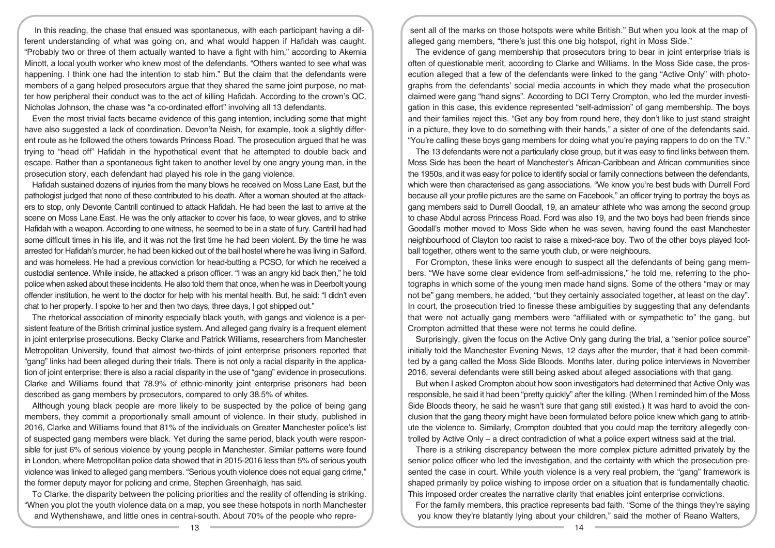In this reading, the chase that ensued was spontaneous, with each participant having a different understanding of what was going on, and what would happen if Hafidah was caught. "Probably two or three of them actually wanted to have a fight with him," according to Akemia Minott, a local youth worker who knew most of the defendants. "Others wanted to see what was happening. I think one had the intention to stab him." But the claim that the defendants were members of a gang helped prosecutors argue that they shared the same joint purpose, no matter how peripheral their conduct was to the act of killing Hafidah. According to the crown's QC, Nicholas Johnson, the chase was "a co-ordinated effort" involving all 13 defendants.

Even the most trivial facts became evidence of this gang intention, including some that might have also suggested a lack of coordination. Devon'ta Neish, for example, took a slightly different route as he followed the others towards Princess Road. The prosecution argued that he was trying to "head off" Hafidah in the hypothetical event that he attempted to double back and escape. Rather than a spontaneous fight taken to another level by one angry young man, in the prosecution story, each defendant had played his role in the gang violence.

Hafidah sustained dozens of injuries from the many blows he received on Moss Lane East, but the pathologist judged that none of these contributed to his death. After a woman shouted at the attackers to stop, only Devonte Cantrill continued to attack Hafidah. He had been the last to arrive at the scene on Moss Lane East. He was the only attacker to cover his face, to wear gloves, and to strike Hafidah with a weapon. According to one witness, he seemed to be in a state of fury. Cantrill had had some difficult times in his life, and it was not the first time he had been violent. By the time he was arrested for Hafidah's murder, he had been kicked out of the bail hostel where he was living in Salford, and was homeless. He had a previous conviction for head-butting a PCSO, for which he received a custodial sentence. While inside, he attacked a prison officer. "I was an angry kid back then," he told police when asked about these incidents. He also told them that once, when he was in Deerbolt young offender institution, he went to the doctor for help with his mental health. But, he said: "I didn't even chat to her properly. I spoke to her and then two days, three days, I got shipped out."

The rhetorical association of minority especially black youth, with gangs and violence is a persistent feature of the British criminal justice system. And alleged gang rivalry is a frequent element in joint enterprise prosecutions. Becky Clarke and Patrick Williams, researchers from Manchester Metropolitan University, found that almost two-thirds of joint enterprise prisoners reported that "gang" links had been alleged during their trials. There is not only a racial disparity in the application of joint enterprise; there is also a racial disparity in the use of "gang" evidence in prosecutions. Clarke and Williams found that 78.9% of ethnic-minority joint enterprise prisoners had been described as gang members by prosecutors, compared to only 38.5% of whites.

Although young black people are more likely to be suspected by the police of being gang members, they commit a proportionally small amount of violence. In their study, published in 2016, Clarke and Williams found that 81% of the individuals on Greater Manchester police's list of suspected gang members were black. Yet during the same period, black youth were responsible for just 6% of serious violence by young people in Manchester. Similar patterns were found in London, where Metropolitan police data showed that in 2015-2016 less than 5% of serious youth violence was linked to alleged gang members. "Serious youth violence does not equal gang crime," the former deputy mayor for policing and crime, Stephen Greenhalgh, has said.

To Clarke, the disparity between the policing priorities and the reality of offending is striking. "When you plot the youth violence data on a map, you see these hotspots in north Manchester and Wythenshawe, and little ones in central-south. About 70% of the people who repre-

sent all of the marks on those hotspots were white British." But when you look at the map of alleged gang members, "there's just this one big hotspot, right in Moss Side."

The evidence of gang membership that prosecutors bring to bear in joint enterprise trials is often of questionable merit, according to Clarke and Williams. In the Moss Side case, the prosecution alleged that a few of the defendants were linked to the gang "Active Only" with photographs from the defendants' social media accounts in which they made what the prosecution claimed were gang "hand signs". According to DCI Terry Crompton, who led the murder investigation in this case, this evidence represented "self-admission" of gang membership. The boys and their families reject this. "Get any boy from round here, they don't like to just stand straight in a picture, they love to do something with their hands," a sister of one of the defendants said. "You're calling these boys gang members for doing what you're paying rappers to do on the TV."

The 13 defendants were not a particularly close group, but it was easy to find links between them. Moss Side has been the heart of Manchester's African-Caribbean and African communities since the 1950s, and it was easy for police to identify social or family connections between the defendants, which were then characterised as gang associations. "We know you're best buds with Durrell Ford because all your profile pictures are the same on Facebook," an officer trying to portray the boys as gang members said to Durrell Goodall, 19, an amateur athlete who was among the second group to chase Abdul across Princess Road. Ford was also 19, and the two boys had been friends since Goodall's mother moved to Moss Side when he was seven, having found the east Manchester neighbourhood of Clayton too racist to raise a mixed-race boy. Two of the other boys played football together, others went to the same youth club, or were neighbours.

For Crompton, these links were enough to suspect all the defendants of being gang members. "We have some clear evidence from self-admissions," he told me, referring to the photographs in which some of the young men made hand signs. Some of the others "may or may not be" gang members, he added, "but they certainly associated together, at least on the day". In court, the prosecution tried to finesse these ambiguities by suggesting that any defendants that were not actually gang members were "affiliated with or sympathetic to" the gang, but Crompton admitted that these were not terms he could define.

Surprisingly, given the focus on the Active Only gang during the trial, a "senior police source" initially told the Manchester Evening News, 12 days after the murder, that it had been committed by a gang called the Moss Side Bloods. Months later, during police interviews in November 2016, several defendants were still being asked about alleged associations with that gang.

But when I asked Crompton about how soon investigators had determined that Active Only was responsible, he said it had been "pretty quickly" after the killing. (When I reminded him of the Moss Side Bloods theory, he said he wasn't sure that gang still existed.) It was hard to avoid the conclusion that the gang theory might have been formulated before police knew which gang to attribute the violence to. Similarly, Crompton doubted that you could map the territory allegedly controlled by Active Only – a direct contradiction of what a police expert witness said at the trial.

There is a striking discrepancy between the more complex picture admitted privately by the senior police officer who led the investigation, and the certainty with which the prosecution presented the case in court. While youth violence is a very real problem, the "gang" framework is shaped primarily by police wishing to impose order on a situation that is fundamentally chaotic. This imposed order creates the narrative clarity that enables joint enterprise convictions.

For the family members, this practice represents bad faith. "Some of the things they're saying you know they're blatantly lying about your children," said the mother of Reano Walters,